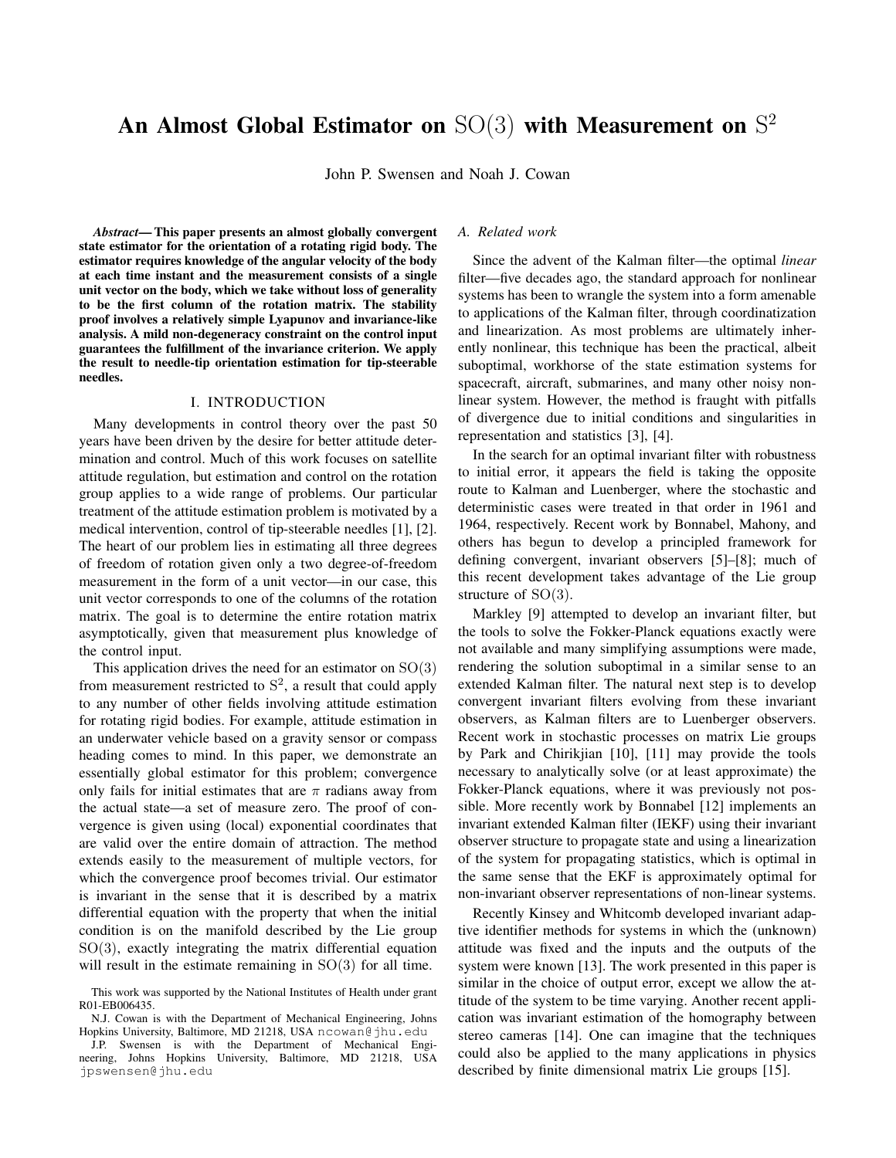# An Almost Global Estimator on  $SO(3)$  with Measurement on  $S^2$

John P. Swensen and Noah J. Cowan

*Abstract*— This paper presents an almost globally convergent state estimator for the orientation of a rotating rigid body. The estimator requires knowledge of the angular velocity of the body at each time instant and the measurement consists of a single unit vector on the body, which we take without loss of generality to be the first column of the rotation matrix. The stability proof involves a relatively simple Lyapunov and invariance-like analysis. A mild non-degeneracy constraint on the control input guarantees the fulfillment of the invariance criterion. We apply the result to needle-tip orientation estimation for tip-steerable needles.

## I. INTRODUCTION

Many developments in control theory over the past 50 years have been driven by the desire for better attitude determination and control. Much of this work focuses on satellite attitude regulation, but estimation and control on the rotation group applies to a wide range of problems. Our particular treatment of the attitude estimation problem is motivated by a medical intervention, control of tip-steerable needles [1], [2]. The heart of our problem lies in estimating all three degrees of freedom of rotation given only a two degree-of-freedom measurement in the form of a unit vector—in our case, this unit vector corresponds to one of the columns of the rotation matrix. The goal is to determine the entire rotation matrix asymptotically, given that measurement plus knowledge of the control input.

This application drives the need for an estimator on  $SO(3)$ from measurement restricted to  $S<sup>2</sup>$ , a result that could apply to any number of other fields involving attitude estimation for rotating rigid bodies. For example, attitude estimation in an underwater vehicle based on a gravity sensor or compass heading comes to mind. In this paper, we demonstrate an essentially global estimator for this problem; convergence only fails for initial estimates that are  $\pi$  radians away from the actual state—a set of measure zero. The proof of convergence is given using (local) exponential coordinates that are valid over the entire domain of attraction. The method extends easily to the measurement of multiple vectors, for which the convergence proof becomes trivial. Our estimator is invariant in the sense that it is described by a matrix differential equation with the property that when the initial condition is on the manifold described by the Lie group  $SO(3)$ , exactly integrating the matrix differential equation will result in the estimate remaining in  $SO(3)$  for all time.

## *A. Related work*

Since the advent of the Kalman filter—the optimal *linear* filter—five decades ago, the standard approach for nonlinear systems has been to wrangle the system into a form amenable to applications of the Kalman filter, through coordinatization and linearization. As most problems are ultimately inherently nonlinear, this technique has been the practical, albeit suboptimal, workhorse of the state estimation systems for spacecraft, aircraft, submarines, and many other noisy nonlinear system. However, the method is fraught with pitfalls of divergence due to initial conditions and singularities in representation and statistics [3], [4].

In the search for an optimal invariant filter with robustness to initial error, it appears the field is taking the opposite route to Kalman and Luenberger, where the stochastic and deterministic cases were treated in that order in 1961 and 1964, respectively. Recent work by Bonnabel, Mahony, and others has begun to develop a principled framework for defining convergent, invariant observers [5]–[8]; much of this recent development takes advantage of the Lie group structure of SO(3).

Markley [9] attempted to develop an invariant filter, but the tools to solve the Fokker-Planck equations exactly were not available and many simplifying assumptions were made, rendering the solution suboptimal in a similar sense to an extended Kalman filter. The natural next step is to develop convergent invariant filters evolving from these invariant observers, as Kalman filters are to Luenberger observers. Recent work in stochastic processes on matrix Lie groups by Park and Chirikjian [10], [11] may provide the tools necessary to analytically solve (or at least approximate) the Fokker-Planck equations, where it was previously not possible. More recently work by Bonnabel [12] implements an invariant extended Kalman filter (IEKF) using their invariant observer structure to propagate state and using a linearization of the system for propagating statistics, which is optimal in the same sense that the EKF is approximately optimal for non-invariant observer representations of non-linear systems.

Recently Kinsey and Whitcomb developed invariant adaptive identifier methods for systems in which the (unknown) attitude was fixed and the inputs and the outputs of the system were known [13]. The work presented in this paper is similar in the choice of output error, except we allow the attitude of the system to be time varying. Another recent application was invariant estimation of the homography between stereo cameras [14]. One can imagine that the techniques could also be applied to the many applications in physics described by finite dimensional matrix Lie groups [15].

This work was supported by the National Institutes of Health under grant R01-EB006435.

N.J. Cowan is with the Department of Mechanical Engineering, Johns Hopkins University, Baltimore, MD 21218, USA ncowan@jhu.edu

J.P. Swensen is with the Department of Mechanical Engineering, Johns Hopkins University, Baltimore, MD 21218, USA jpswensen@jhu.edu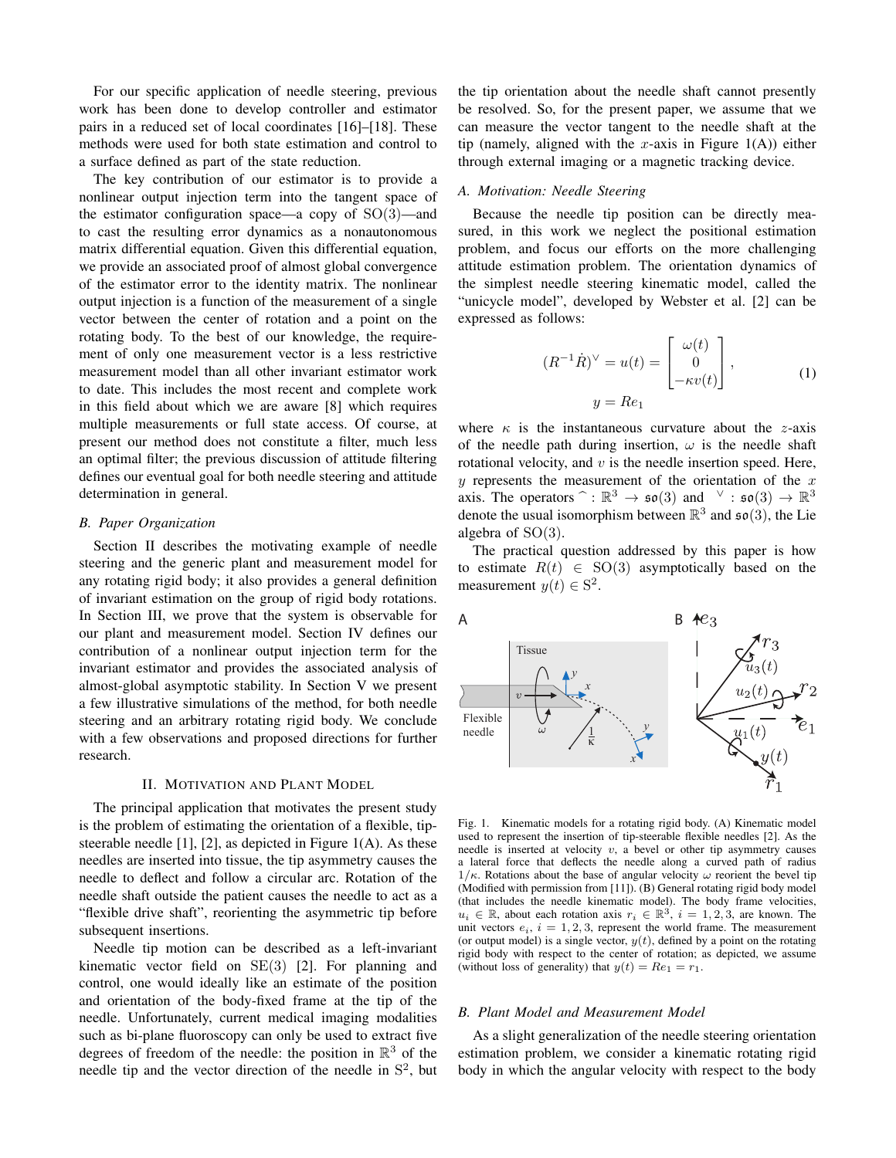For our specific application of needle steering, previous work has been done to develop controller and estimator pairs in a reduced set of local coordinates [16]–[18]. These methods were used for both state estimation and control to a surface defined as part of the state reduction.

The key contribution of our estimator is to provide a nonlinear output injection term into the tangent space of the estimator configuration space—a copy of  $SO(3)$ —and to cast the resulting error dynamics as a nonautonomous matrix differential equation. Given this differential equation, we provide an associated proof of almost global convergence of the estimator error to the identity matrix. The nonlinear output injection is a function of the measurement of a single vector between the center of rotation and a point on the rotating body. To the best of our knowledge, the requirement of only one measurement vector is a less restrictive measurement model than all other invariant estimator work to date. This includes the most recent and complete work in this field about which we are aware [8] which requires multiple measurements or full state access. Of course, at present our method does not constitute a filter, much less an optimal filter; the previous discussion of attitude filtering defines our eventual goal for both needle steering and attitude determination in general.

## *B. Paper Organization*

Section II describes the motivating example of needle steering and the generic plant and measurement model for any rotating rigid body; it also provides a general definition of invariant estimation on the group of rigid body rotations. In Section III, we prove that the system is observable for our plant and measurement model. Section IV defines our contribution of a nonlinear output injection term for the invariant estimator and provides the associated analysis of almost-global asymptotic stability. In Section V we present a few illustrative simulations of the method, for both needle steering and an arbitrary rotating rigid body. We conclude with a few observations and proposed directions for further research.

## II. MOTIVATION AND PLANT MODEL

The principal application that motivates the present study is the problem of estimating the orientation of a flexible, tipsteerable needle [1], [2], as depicted in Figure 1(A). As these needles are inserted into tissue, the tip asymmetry causes the needle to deflect and follow a circular arc. Rotation of the needle shaft outside the patient causes the needle to act as a "flexible drive shaft", reorienting the asymmetric tip before subsequent insertions.

Needle tip motion can be described as a left-invariant kinematic vector field on SE(3) [2]. For planning and control, one would ideally like an estimate of the position and orientation of the body-fixed frame at the tip of the needle. Unfortunately, current medical imaging modalities such as bi-plane fluoroscopy can only be used to extract five degrees of freedom of the needle: the position in  $\mathbb{R}^3$  of the needle tip and the vector direction of the needle in  $S<sup>2</sup>$ , but

the tip orientation about the needle shaft cannot presently be resolved. So, for the present paper, we assume that we can measure the vector tangent to the needle shaft at the tip (namely, aligned with the x-axis in Figure  $1(A)$ ) either through external imaging or a magnetic tracking device.

## *A. Motivation: Needle Steering*

Because the needle tip position can be directly measured, in this work we neglect the positional estimation problem, and focus our efforts on the more challenging attitude estimation problem. The orientation dynamics of the simplest needle steering kinematic model, called the "unicycle model", developed by Webster et al. [2] can be expressed as follows:

$$
(R^{-1}\dot{R})^{\vee} = u(t) = \begin{bmatrix} \omega(t) \\ 0 \\ -\kappa v(t) \end{bmatrix},
$$
  
\n
$$
y = Re_1
$$
 (1)

where  $\kappa$  is the instantaneous curvature about the *z*-axis of the needle path during insertion,  $\omega$  is the needle shaft rotational velocity, and  $v$  is the needle insertion speed. Here,  $y$  represents the measurement of the orientation of the  $x$ axis. The operators  $\hat{ }$  :  $\mathbb{R}^3 \to \mathfrak{so}(3)$  and  $\vee$  :  $\mathfrak{so}(3) \to \mathbb{R}^3$ <br>denote the usual isomorphism between  $\mathbb{R}^3$  and  $\mathfrak{so}(3)$ , the Lie denote the usual isomorphism between  $\mathbb{R}^3$  and  $\mathfrak{so}(3)$ , the Lie algebra of  $SO(3)$ .

The practical question addressed by this paper is how to estimate  $R(t) \in SO(3)$  asymptotically based on the measurement  $y(t) \in S^2$ .



Fig. 1. Kinematic models for a rotating rigid body. (A) Kinematic model used to represent the insertion of tip-steerable flexible needles [2]. As the needle is inserted at velocity  $v$ , a bevel or other tip asymmetry causes a lateral force that deflects the needle along a curved path of radius  $1/\kappa$ . Rotations about the base of angular velocity  $\omega$  reorient the bevel tip (Modified with permission from [11]). (B) General rotating rigid body model (that includes the needle kinematic model). The body frame velocities,  $u_i \in \mathbb{R}$ , about each rotation axis  $r_i \in \mathbb{R}^3$ ,  $i = 1, 2, 3$ , are known. The unit vectors  $e_i$ ,  $i = 1, 2, 3$ , represent the world frame. The measurement (or output model) is a single vector,  $y(t)$ , defined by a point on the rotating rigid body with respect to the center of rotation; as depicted, we assume (without loss of generality) that  $y(t) = Re_1 = r_1$ .

## *B. Plant Model and Measurement Model*

As a slight generalization of the needle steering orientation estimation problem, we consider a kinematic rotating rigid body in which the angular velocity with respect to the body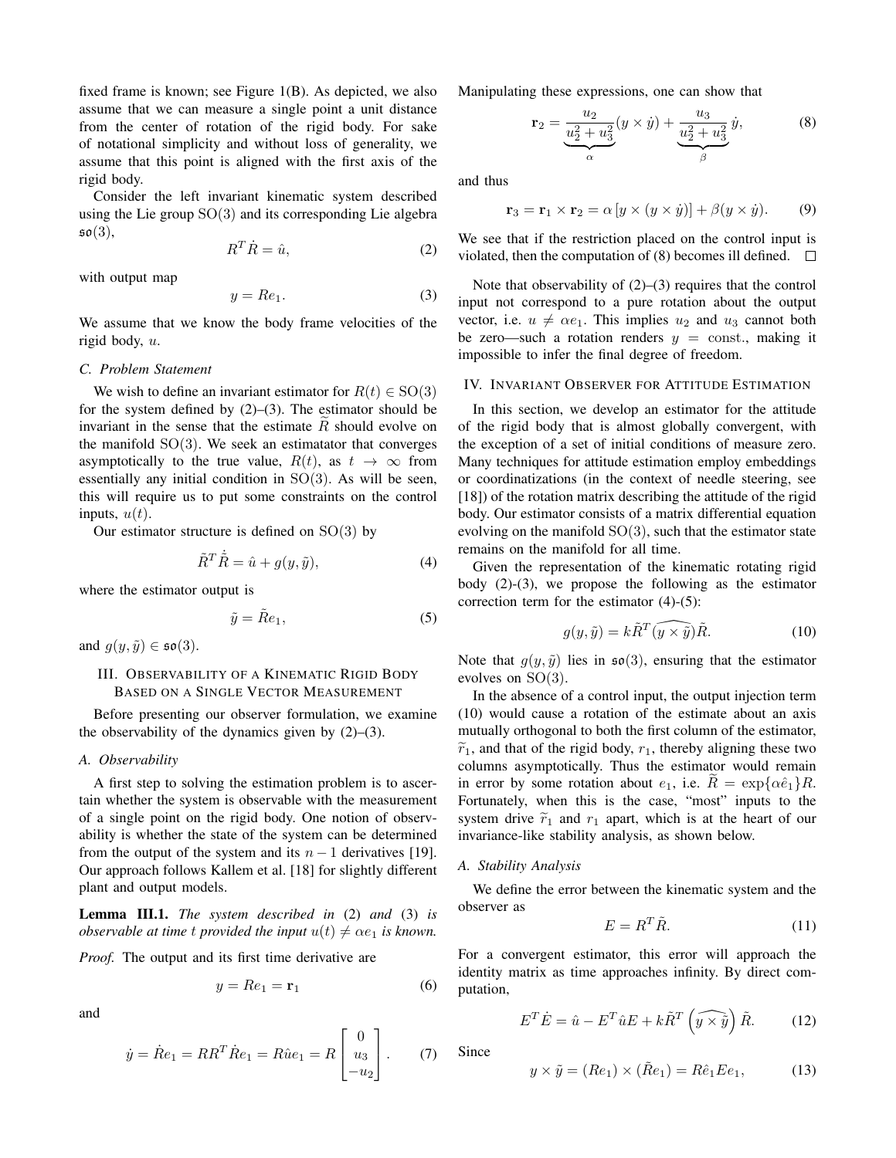fixed frame is known; see Figure 1(B). As depicted, we also assume that we can measure a single point a unit distance from the center of rotation of the rigid body. For sake of notational simplicity and without loss of generality, we assume that this point is aligned with the first axis of the rigid body.

Consider the left invariant kinematic system described using the Lie group  $SO(3)$  and its corresponding Lie algebra  $\mathfrak{so}(3)$ ,

$$
R^T \dot{R} = \hat{u},\tag{2}
$$

with output map

$$
y = Re_1. \tag{3}
$$

We assume that we know the body frame velocities of the rigid body, u.

## *C. Problem Statement*

We wish to define an invariant estimator for  $R(t) \in SO(3)$ for the system defined by  $(2)$ – $(3)$ . The estimator should be invariant in the sense that the estimate  $R$  should evolve on the manifold  $SO(3)$ . We seek an estimatator that converges asymptotically to the true value,  $R(t)$ , as  $t \to \infty$  from essentially any initial condition in SO(3). As will be seen, this will require us to put some constraints on the control inputs,  $u(t)$ .

Our estimator structure is defined on  $SO(3)$  by

$$
\tilde{R}^T \dot{\tilde{R}} = \hat{u} + g(y, \tilde{y}),\tag{4}
$$

where the estimator output is

$$
\tilde{y} = \tilde{R}e_1,\tag{5}
$$

and  $g(y, \tilde{y}) \in \mathfrak{so}(3)$ .

# III. OBSERVABILITY OF A KINEMATIC RIGID BODY BASED ON A SINGLE VECTOR MEASUREMENT

Before presenting our observer formulation, we examine the observability of the dynamics given by  $(2)$ – $(3)$ .

#### *A. Observability*

A first step to solving the estimation problem is to ascertain whether the system is observable with the measurement of a single point on the rigid body. One notion of observability is whether the state of the system can be determined from the output of the system and its  $n - 1$  derivatives [19]. Our approach follows Kallem et al. [18] for slightly different plant and output models.

Lemma III.1. *The system described in* (2) *and* (3) *is observable at time t provided the input*  $u(t) \neq \alpha e_1$  *is known.* 

*Proof.* The output and its first time derivative are

$$
y = Re_1 = \mathbf{r}_1 \tag{6}
$$

and

$$
\dot{y} = \dot{R}e_1 = RR^T \dot{R}e_1 = R\hat{u}e_1 = R\begin{bmatrix} 0\\ u_3\\ -u_2 \end{bmatrix}.
$$
 (7)

Manipulating these expressions, one can show that

$$
\mathbf{r}_2 = \underbrace{\frac{u_2}{u_2^2 + u_3^2}}_{\alpha} (y \times \dot{y}) + \underbrace{\frac{u_3}{u_2^2 + u_3^2}}_{\beta} \dot{y},\tag{8}
$$

and thus

$$
\mathbf{r}_3 = \mathbf{r}_1 \times \mathbf{r}_2 = \alpha \left[ y \times (y \times \dot{y}) \right] + \beta (y \times \dot{y}). \tag{9}
$$

We see that if the restriction placed on the control input is violated, then the computation of (8) becomes ill defined.  $\Box$ 

Note that observability of (2)–(3) requires that the control input not correspond to a pure rotation about the output vector, i.e.  $u \neq \alpha e_1$ . This implies  $u_2$  and  $u_3$  cannot both be zero—such a rotation renders  $y = \text{const.}$ , making it impossible to infer the final degree of freedom.

## IV. INVARIANT OBSERVER FOR ATTITUDE ESTIMATION

In this section, we develop an estimator for the attitude of the rigid body that is almost globally convergent, with the exception of a set of initial conditions of measure zero. Many techniques for attitude estimation employ embeddings or coordinatizations (in the context of needle steering, see [18]) of the rotation matrix describing the attitude of the rigid body. Our estimator consists of a matrix differential equation evolving on the manifold  $SO(3)$ , such that the estimator state remains on the manifold for all time.

Given the representation of the kinematic rotating rigid body (2)-(3), we propose the following as the estimator correction term for the estimator (4)-(5):

$$
g(y,\tilde{y}) = k\tilde{R}^T(\widehat{y \times \tilde{y}})\tilde{R}.
$$
 (10)

Note that  $g(y, \tilde{y})$  lies in  $\mathfrak{so}(3)$ , ensuring that the estimator evolves on SO(3).

In the absence of a control input, the output injection term (10) would cause a rotation of the estimate about an axis mutually orthogonal to both the first column of the estimator,  $\tilde{r}_1$ , and that of the rigid body,  $r_1$ , thereby aligning these two columns asymptotically. Thus the estimator would remain in error by some rotation about  $e_1$ , i.e.  $R = \exp{\{\alpha \hat{e}_1\}}R$ . Fortunately, when this is the case, "most" inputs to the system drive  $\tilde{r}_1$  and  $r_1$  apart, which is at the heart of our invariance-like stability analysis, as shown below.

### *A. Stability Analysis*

We define the error between the kinematic system and the observer as

$$
E = R^T \tilde{R}.
$$
 (11)

For a convergent estimator, this error will approach the identity matrix as time approaches infinity. By direct computation,

$$
E^T \dot{E} = \hat{u} - E^T \hat{u} E + k \tilde{R}^T \left( \widehat{y \times \tilde{y}} \right) \tilde{R}.
$$
 (12)

Since

$$
y \times \tilde{y} = (Re_1) \times (\tilde{R}e_1) = R\hat{e}_1 E e_1, \tag{13}
$$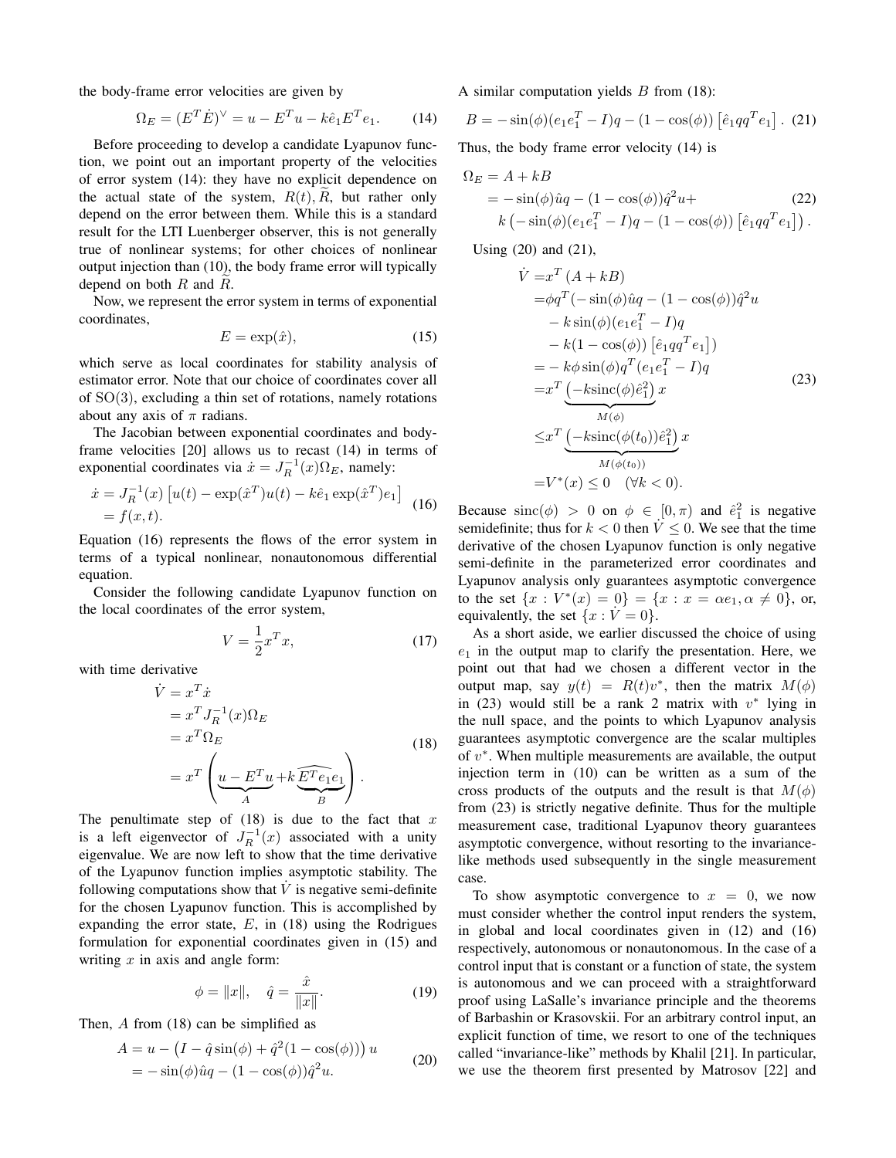the body-frame error velocities are given by

$$
\Omega_E = (E^T \dot{E})^{\vee} = u - E^T u - k \hat{e}_1 E^T e_1.
$$
 (14)

Before proceeding to develop a candidate Lyapunov function, we point out an important property of the velocities of error system (14): they have no explicit dependence on the actual state of the system,  $R(t)$ , R, but rather only depend on the error between them. While this is a standard result for the LTI Luenberger observer, this is not generally true of nonlinear systems; for other choices of nonlinear output injection than (10), the body frame error will typically depend on both  $R$  and  $R$ .

Now, we represent the error system in terms of exponential coordinates,

$$
E = \exp(\hat{x}),\tag{15}
$$

which serve as local coordinates for stability analysis of estimator error. Note that our choice of coordinates cover all of SO(3), excluding a thin set of rotations, namely rotations about any axis of  $\pi$  radians.

The Jacobian between exponential coordinates and bodyframe velocities [20] allows us to recast (14) in terms of exponential coordinates via  $\dot{x} = J_R^{-1}(x)\Omega_E$ , namely:

$$
\begin{aligned} \dot{x} &= J_R^{-1}(x) \left[ u(t) - \exp(\hat{x}^T) u(t) - k\hat{e}_1 \exp(\hat{x}^T) e_1 \right] \\ &= f(x, t). \end{aligned} \tag{16}
$$

Equation (16) represents the flows of the error system in terms of a typical nonlinear, nonautonomous differential equation.

Consider the following candidate Lyapunov function on the local coordinates of the error system,

$$
V = \frac{1}{2}x^T x,\tag{17}
$$

with time derivative

$$
\dot{V} = x^T \dot{x}
$$
\n
$$
= x^T J_R^{-1}(x) \Omega_E
$$
\n
$$
= x^T \Omega_E
$$
\n
$$
= x^T \left( \underbrace{u - E^T u}_{A} + k \underbrace{E^T e_1 e_1}_{B} \right).
$$
\n(18)

The penultimate step of  $(18)$  is due to the fact that x is a left eigenvector of  $J_R^{-1}(x)$  associated with a unity eigenvalue. We are now left to show that the time derivative of the Lyapunov function implies asymptotic stability. The following computations show that  $\dot{V}$  is negative semi-definite for the chosen Lyapunov function. This is accomplished by expanding the error state,  $E$ , in (18) using the Rodrigues formulation for exponential coordinates given in (15) and writing  $x$  in axis and angle form:

$$
\phi = \|x\|, \quad \hat{q} = \frac{\hat{x}}{\|x\|}.
$$
 (19)

Then, A from (18) can be simplified as

$$
A = u - (I - \hat{q}\sin(\phi) + \hat{q}^{2}(1 - \cos(\phi))) u
$$
  
=  $-\sin(\phi)\hat{u}q - (1 - \cos(\phi))\hat{q}^{2}u.$  (20)

A similar computation yields  $B$  from (18):

$$
B = -\sin(\phi)(e_1e_1^T - I)q - (1 - \cos(\phi)) [\hat{e}_1qq^Te_1].
$$
 (21)

Thus, the body frame error velocity (14) is

$$
\Omega_E = A + kB
$$
  
=  $-\sin(\phi)\hat{u}q - (1 - \cos(\phi))\hat{q}^2u +$   
 $k(-\sin(\phi)(e_1e_1^T - I)q - (1 - \cos(\phi))[\hat{e}_1qq^Te_1]).$  (22)

Using (20) and (21),

$$
\dot{V} = x^T (A + kB)
$$
\n
$$
= \phi q^T (-\sin(\phi)\hat{u}q - (1 - \cos(\phi))\hat{q}^2 u - k \sin(\phi)(e_1e_1^T - I)q - k(1 - \cos(\phi))[\hat{e}_1qq^Te_1])
$$
\n
$$
= -k\phi \sin(\phi)q^T (e_1e_1^T - I)q
$$
\n
$$
= x^T \underbrace{(-k\sin(\phi)\hat{e}_1^2)}_{M(\phi)} x \tag{23}
$$
\n
$$
\leq x^T \underbrace{(-k\sin(\phi(t_0))\hat{e}_1^2)}_{M(\phi(t_0))} x
$$
\n
$$
= V^*(x) \leq 0 \quad (\forall k < 0).
$$

Because  $\text{sinc}(\phi) > 0$  on  $\phi \in [0, \pi)$  and  $\hat{e}_1^2$  is negative semidefinite; thus for  $k < 0$  then  $V \leq 0$ . We see that the time derivative of the chosen Lyapunov function is only negative semi-definite in the parameterized error coordinates and Lyapunov analysis only guarantees asymptotic convergence to the set  $\{x : V^*(x) = 0\} = \{x : x = \alpha e_1, \alpha \neq 0\}$ , or, equivalently, the set  $\{x : V = 0\}.$ 

As a short aside, we earlier discussed the choice of using  $e_1$  in the output map to clarify the presentation. Here, we point out that had we chosen a different vector in the output map, say  $y(t) = R(t)v^*$ , then the matrix  $M(\phi)$ in (23) would still be a rank 2 matrix with  $v^*$  lying in the null space, and the points to which Lyapunov analysis guarantees asymptotic convergence are the scalar multiples of  $v^*$ . When multiple measurements are available, the output injection term in (10) can be written as a sum of the cross products of the outputs and the result is that  $M(\phi)$ from (23) is strictly negative definite. Thus for the multiple measurement case, traditional Lyapunov theory guarantees asymptotic convergence, without resorting to the invariancelike methods used subsequently in the single measurement case.

To show asymptotic convergence to  $x = 0$ , we now must consider whether the control input renders the system, in global and local coordinates given in (12) and (16) respectively, autonomous or nonautonomous. In the case of a control input that is constant or a function of state, the system is autonomous and we can proceed with a straightforward proof using LaSalle's invariance principle and the theorems of Barbashin or Krasovskii. For an arbitrary control input, an explicit function of time, we resort to one of the techniques called "invariance-like" methods by Khalil [21]. In particular, we use the theorem first presented by Matrosov [22] and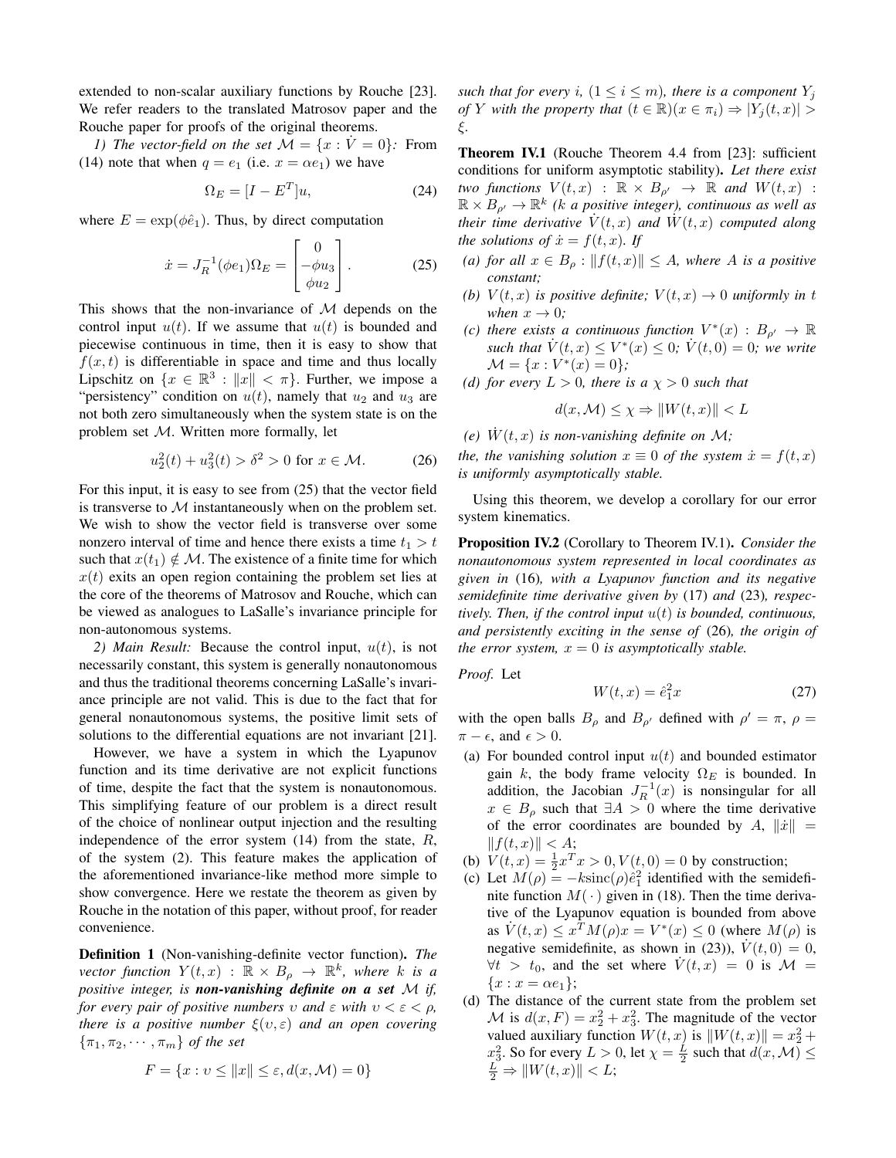extended to non-scalar auxiliary functions by Rouche [23]. We refer readers to the translated Matrosov paper and the Rouche paper for proofs of the original theorems.

*1)* The vector-field on the set  $\mathcal{M} = \{x : \dot{V} = 0\}$ . From (14) note that when  $q = e_1$  (i.e.  $x = \alpha e_1$ ) we have

$$
\Omega_E = [I - E^T]u,\tag{24}
$$

where  $E = \exp(\phi \hat{e}_1)$ . Thus, by direct computation

$$
\dot{x} = J_R^{-1}(\phi e_1) \Omega_E = \begin{bmatrix} 0 \\ -\phi u_3 \\ \phi u_2 \end{bmatrix} . \tag{25}
$$

This shows that the non-invariance of  $M$  depends on the control input  $u(t)$ . If we assume that  $u(t)$  is bounded and piecewise continuous in time, then it is easy to show that  $f(x, t)$  is differentiable in space and time and thus locally Lipschitz on  $\{x \in \mathbb{R}^3 : ||x|| < \pi\}$ . Further, we impose a "persistency" condition on  $u(t)$ , namely that  $u_2$  and  $u_3$  are not both zero simultaneously when the system state is on the problem set M. Written more formally, let

$$
u_2^2(t) + u_3^2(t) > \delta^2 > 0 \text{ for } x \in \mathcal{M}.
$$
 (26)

For this input, it is easy to see from (25) that the vector field is transverse to  $M$  instantaneously when on the problem set. We wish to show the vector field is transverse over some nonzero interval of time and hence there exists a time  $t_1 > t$ such that  $x(t_1) \notin \mathcal{M}$ . The existence of a finite time for which  $x(t)$  exits an open region containing the problem set lies at the core of the theorems of Matrosov and Rouche, which can be viewed as analogues to LaSalle's invariance principle for non-autonomous systems.

*2) Main Result:* Because the control input, u(t), is not necessarily constant, this system is generally nonautonomous and thus the traditional theorems concerning LaSalle's invariance principle are not valid. This is due to the fact that for general nonautonomous systems, the positive limit sets of solutions to the differential equations are not invariant [21].

However, we have a system in which the Lyapunov function and its time derivative are not explicit functions of time, despite the fact that the system is nonautonomous. This simplifying feature of our problem is a direct result of the choice of nonlinear output injection and the resulting independence of the error system  $(14)$  from the state, R, of the system (2). This feature makes the application of the aforementioned invariance-like method more simple to show convergence. Here we restate the theorem as given by Rouche in the notation of this paper, without proof, for reader convenience.

Definition 1 (Non-vanishing-definite vector function). *The vector function*  $Y(t, x)$  :  $\mathbb{R} \times B_\rho \to \mathbb{R}^k$ , where k is a *positive integer, is non-vanishing definite on a set* M *if, for every pair of positive numbers*  $v$  *and*  $\varepsilon$  *with*  $v < \varepsilon < \rho$ *, there is a positive number*  $\xi(v,\varepsilon)$  *and an open covering*  ${\lbrace \pi_1, \pi_2, \cdots, \pi_m \rbrace}$  *of the set* 

$$
F = \{x : v \le ||x|| \le \varepsilon, d(x, \mathcal{M}) = 0\}
$$

*such that for every i,*  $(1 \le i \le m)$ *, there is a component*  $Y_i$ *of* Y *with the property that*  $(t \in \mathbb{R})(x \in \pi_i) \Rightarrow |Y_i(t,x)| >$ ξ*.*

Theorem IV.1 (Rouche Theorem 4.4 from [23]: sufficient conditions for uniform asymptotic stability). *Let there exist two functions*  $V(t, x)$  :  $\mathbb{R} \times B_{\rho'} \rightarrow \mathbb{R}$  *and*  $W(t, x)$  :  $\mathbb{R} \times B_{\rho} \to \mathbb{R}^k$  (k a positive integer), continuous as well as *their time derivative*  $\dot{V}(t, x)$  *and*  $\dot{W}(t, x)$  *computed along the solutions of*  $\dot{x} = f(t, x)$ *. If* 

- *(a) for all*  $x \in B$ <sub>*ρ*</sub> :  $||f(t, x)|| \leq A$ *, where A is a positive constant;*
- *(b)*  $V(t, x)$  *is positive definite;*  $V(t, x) \rightarrow 0$  *uniformly in t when*  $x \to 0$ *;*
- *(c)* there exists a continuous function  $V^*(x) : B_{\rho'} \to \mathbb{R}$ *such that*  $\dot{V}(t, x) \leq V^*(x) \leq 0$ ;  $\dot{V}(t, 0) = 0$ ; we write  $\mathcal{M} = \{x : V^*(x) = 0\};\;$
- *(d) for every*  $L > 0$ *, there is a*  $\chi > 0$  *such that*

$$
d(x, \mathcal{M}) \le \chi \Rightarrow ||W(t, x)|| < L
$$

*(e)*  $W(t, x)$  *is non-vanishing definite on*  $\mathcal{M}$ *;* 

*the, the vanishing solution*  $x \equiv 0$  *of the system*  $\dot{x} = f(t, x)$ *is uniformly asymptotically stable.*

Using this theorem, we develop a corollary for our error system kinematics.

Proposition IV.2 (Corollary to Theorem IV.1). *Consider the nonautonomous system represented in local coordinates as given in* (16)*, with a Lyapunov function and its negative semidefinite time derivative given by* (17) *and* (23)*, respectively. Then, if the control input* u(t) *is bounded, continuous, and persistently exciting in the sense of* (26)*, the origin of the error system,*  $x = 0$  *is asymptotically stable.* 

*Proof.* Let

 $W(t, x) = \hat{e}_1^2$  $(27)$ 

with the open balls  $B_{\rho}$  and  $B_{\rho'}$  defined with  $\rho' = \pi$ ,  $\rho =$  $\pi - \epsilon$ , and  $\epsilon > 0$ .

- (a) For bounded control input  $u(t)$  and bounded estimator gain k, the body frame velocity  $\Omega_E$  is bounded. In addition, the Jacobian  $J_R^{-1}(x)$  is nonsingular for all  $x \in B_\rho$  such that  $\exists A > 0$  where the time derivative of the error coordinates are bounded by A,  $\|\dot{x}\|$  =  $|| f(t, x) || < A;$
- (b)  $V(t, x) = \frac{1}{2}x^{T}x > 0, V(t, 0) = 0$  by construction;
- (c) Let  $M(\rho) = -k\text{sinc}(\rho)\hat{e}_1^2$  identified with the semidefinite function  $M(\cdot)$  given in (18). Then the time derivative of the Lyapunov equation is bounded from above as  $\dot{V}(t, x) \le x^T M(\rho) x = V^*(x) \le 0$  (where  $M(\rho)$  is negative semidefinite, as shown in (23)),  $\dot{V}(t, 0) = 0$ ,  $\forall t > t_0$ , and the set where  $\dot{V}(t, x) = 0$  is  $\mathcal{M} =$  ${x : x = \alpha e_1};$
- (d) The distance of the current state from the problem set M is  $d(x, F) = x_2^2 + x_3^2$ . The magnitude of the vector valued auxiliary function  $W(t, x)$  is  $||W(t, x)|| = x_2^2 +$  $x_3^2$ . So for every  $L > 0$ , let  $\chi = \frac{L}{2}$  such that  $d(x, \mathcal{M}) \leq$  $\frac{L}{2} \Rightarrow ||W(t, x)|| < L;$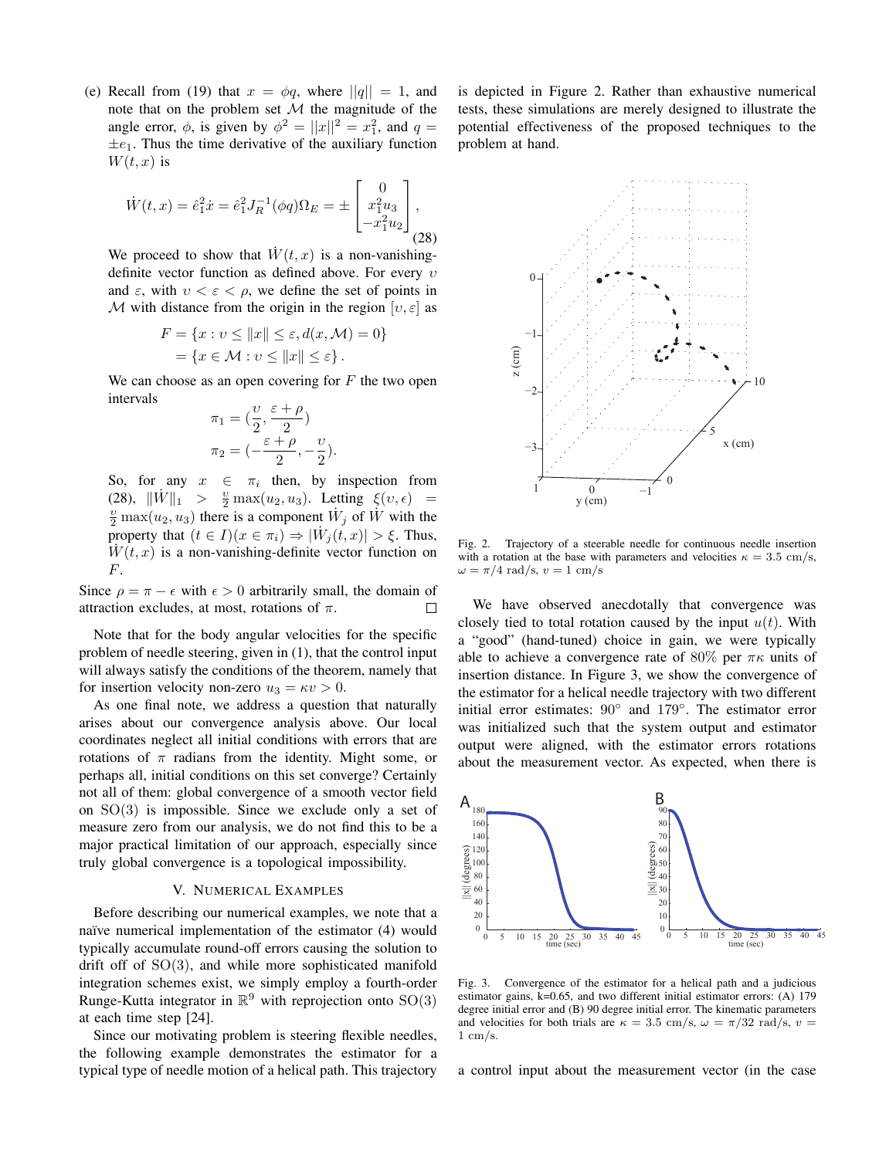(e) Recall from (19) that  $x = \phi q$ , where  $||q|| = 1$ , and note that on the problem set  $M$  the magnitude of the angle error,  $\phi$ , is given by  $\phi^2 = ||x||^2 = x_1^2$ , and  $q =$  $\pm e_1$ . Thus the time derivative of the auxiliary function  $W(t, x)$  is

$$
\dot{W}(t,x) = \hat{e}_1^2 \dot{x} = \hat{e}_1^2 J_R^{-1}(\phi q) \Omega_E = \pm \begin{bmatrix} 0 \\ x_1^2 u_3 \\ -x_1^2 u_2 \end{bmatrix},
$$
\n(28)

We proceed to show that  $W(t, x)$  is a non-vanishingdefinite vector function as defined above. For every  $v$ and  $\varepsilon$ , with  $v < \varepsilon < \rho$ , we define the set of points in M with distance from the origin in the region  $[v, \varepsilon]$  as

$$
F = \{x : v \le ||x|| \le \varepsilon, d(x, \mathcal{M}) = 0\}
$$
  
=  $\{x \in \mathcal{M} : v \le ||x|| \le \varepsilon\}.$ 

We can choose as an open covering for  $F$  the two open intervals

$$
\pi_1 = \left(\frac{\upsilon}{2}, \frac{\varepsilon + \rho}{2}\right) \n\pi_2 = \left(-\frac{\varepsilon + \rho}{2}, -\frac{\upsilon}{2}\right).
$$

So, for any  $x \in \pi_i$  then, by inspection from (28),  $\|\dot{W}\|_1 > \frac{v}{2} \max(u_2, u_3)$ . Letting  $\xi(v, \epsilon)$  =  $\frac{v}{2}$  max $(u_2, u_3)$  there is a component  $\dot{W}_j$  of  $\dot{W}$  with the property that  $(t \in I)(x \in \pi_i) \Rightarrow |\dot{W}_j(t,x)| > \xi$ . Thus,  $W(t, x)$  is a non-vanishing-definite vector function on F.

Since  $\rho = \pi - \epsilon$  with  $\epsilon > 0$  arbitrarily small, the domain of attraction excludes, at most, rotations of  $\pi$ .  $\Box$ 

Note that for the body angular velocities for the specific problem of needle steering, given in (1), that the control input will always satisfy the conditions of the theorem, namely that for insertion velocity non-zero  $u_3 = \kappa v > 0$ .

As one final note, we address a question that naturally arises about our convergence analysis above. Our local coordinates neglect all initial conditions with errors that are rotations of  $\pi$  radians from the identity. Might some, or perhaps all, initial conditions on this set converge? Certainly not all of them: global convergence of a smooth vector field on  $SO(3)$  is impossible. Since we exclude only a set of measure zero from our analysis, we do not find this to be a major practical limitation of our approach, especially since truly global convergence is a topological impossibility.

## V. NUMERICAL EXAMPLES

Before describing our numerical examples, we note that a naïve numerical implementation of the estimator (4) would typically accumulate round-off errors causing the solution to drift off of SO(3), and while more sophisticated manifold integration schemes exist, we simply employ a fourth-order Runge-Kutta integrator in  $\mathbb{R}^9$  with reprojection onto  $SO(3)$ at each time step [24].

Since our motivating problem is steering flexible needles, the following example demonstrates the estimator for a typical type of needle motion of a helical path. This trajectory is depicted in Figure 2. Rather than exhaustive numerical tests, these simulations are merely designed to illustrate the potential effectiveness of the proposed techniques to the problem at hand.



Fig. 2. Trajectory of a steerable needle for continuous needle insertion with a rotation at the base with parameters and velocities  $\kappa = 3.5$  cm/s,  $\omega = \pi/4$  rad/s,  $v = 1$  cm/s

We have observed anecdotally that convergence was closely tied to total rotation caused by the input  $u(t)$ . With a "good" (hand-tuned) choice in gain, we were typically able to achieve a convergence rate of 80% per  $\pi\kappa$  units of insertion distance. In Figure 3, we show the convergence of the estimator for a helical needle trajectory with two different initial error estimates: 90◦ and 179◦ . The estimator error was initialized such that the system output and estimator output were aligned, with the estimator errors rotations about the measurement vector. As expected, when there is



Fig. 3. Convergence of the estimator for a helical path and a judicious estimator gains, k=0.65, and two different initial estimator errors: (A) 179 degree initial error and (B) 90 degree initial error. The kinematic parameters and velocities for both trials are  $\kappa = 3.5$  cm/s,  $\omega = \pi/32$  rad/s,  $v =$  $1 \text{ cm/s}$ .

a control input about the measurement vector (in the case